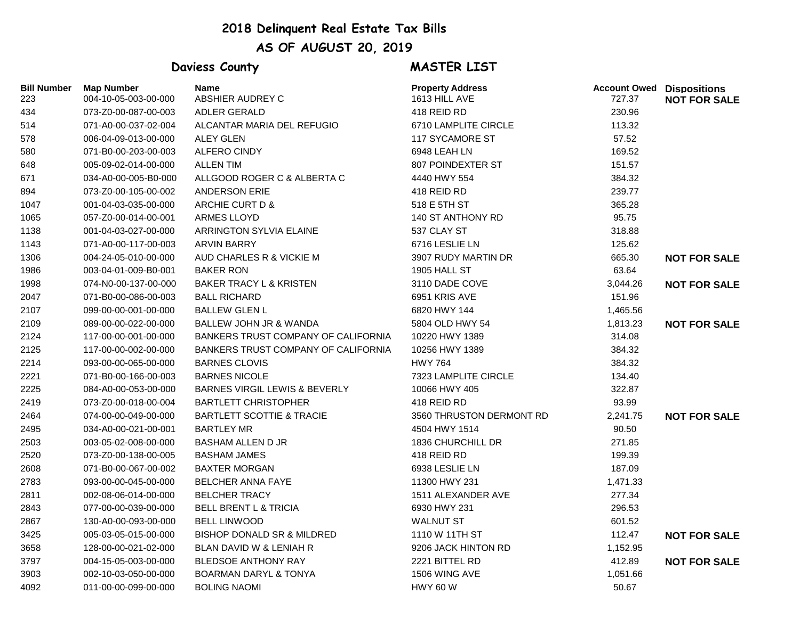## **2018 Delinquent Real Estate Tax Bills AS OF AUGUST 20, 2019**

## **Daviess County MASTER LIST**

| <b>Bill Number</b><br>223 | <b>Map Number</b><br>004-10-05-003-00-000 | <b>Name</b><br>ABSHIER AUDREY C          | <b>Property Address</b><br>1613 HILL AVE | <b>Account Owed Dispositions</b><br>727.37 | <b>NOT FOR SALE</b> |
|---------------------------|-------------------------------------------|------------------------------------------|------------------------------------------|--------------------------------------------|---------------------|
| 434                       | 073-Z0-00-087-00-003                      | <b>ADLER GERALD</b>                      | 418 REID RD                              | 230.96                                     |                     |
| 514                       | 071-A0-00-037-02-004                      | ALCANTAR MARIA DEL REFUGIO               | 6710 LAMPLITE CIRCLE                     | 113.32                                     |                     |
| 578                       | 006-04-09-013-00-000                      | <b>ALEY GLEN</b>                         | <b>117 SYCAMORE ST</b>                   | 57.52                                      |                     |
| 580                       | 071-B0-00-203-00-003                      | <b>ALFERO CINDY</b>                      | 6948 LEAH LN                             | 169.52                                     |                     |
| 648                       | 005-09-02-014-00-000                      | <b>ALLEN TIM</b>                         | 807 POINDEXTER ST                        | 151.57                                     |                     |
| 671                       | 034-A0-00-005-B0-000                      | ALLGOOD ROGER C & ALBERTA C              | 4440 HWY 554                             | 384.32                                     |                     |
| 894                       | 073-Z0-00-105-00-002                      | ANDERSON ERIE                            | 418 REID RD                              | 239.77                                     |                     |
| 1047                      | 001-04-03-035-00-000                      | ARCHIE CURT D &                          | 518 E 5TH ST                             | 365.28                                     |                     |
| 1065                      | 057-Z0-00-014-00-001                      | ARMES LLOYD                              | 140 ST ANTHONY RD                        | 95.75                                      |                     |
| 1138                      | 001-04-03-027-00-000                      | <b>ARRINGTON SYLVIA ELAINE</b>           | 537 CLAY ST                              | 318.88                                     |                     |
| 1143                      | 071-A0-00-117-00-003                      | <b>ARVIN BARRY</b>                       | 6716 LESLIE LN                           | 125.62                                     |                     |
| 1306                      | 004-24-05-010-00-000                      | AUD CHARLES R & VICKIE M                 | 3907 RUDY MARTIN DR                      | 665.30                                     | <b>NOT FOR SALE</b> |
| 1986                      | 003-04-01-009-B0-001                      | <b>BAKER RON</b>                         | 1905 HALL ST                             | 63.64                                      |                     |
| 1998                      | 074-N0-00-137-00-000                      | BAKER TRACY L & KRISTEN                  | 3110 DADE COVE                           | 3,044.26                                   | <b>NOT FOR SALE</b> |
| 2047                      | 071-B0-00-086-00-003                      | <b>BALL RICHARD</b>                      | 6951 KRIS AVE                            | 151.96                                     |                     |
| 2107                      | 099-00-00-001-00-000                      | <b>BALLEW GLEN L</b>                     | 6820 HWY 144                             | 1,465.56                                   |                     |
| 2109                      | 089-00-00-022-00-000                      | BALLEW JOHN JR & WANDA                   | 5804 OLD HWY 54                          | 1,813.23                                   | <b>NOT FOR SALE</b> |
| 2124                      | 117-00-00-001-00-000                      | BANKERS TRUST COMPANY OF CALIFORNIA      | 10220 HWY 1389                           | 314.08                                     |                     |
| 2125                      | 117-00-00-002-00-000                      | BANKERS TRUST COMPANY OF CALIFORNIA      | 10256 HWY 1389                           | 384.32                                     |                     |
| 2214                      | 093-00-00-065-00-000                      | <b>BARNES CLOVIS</b>                     | <b>HWY 764</b>                           | 384.32                                     |                     |
| 2221                      | 071-B0-00-166-00-003                      | <b>BARNES NICOLE</b>                     | 7323 LAMPLITE CIRCLE                     | 134.40                                     |                     |
| 2225                      | 084-A0-00-053-00-000                      | <b>BARNES VIRGIL LEWIS &amp; BEVERLY</b> | 10066 HWY 405                            | 322.87                                     |                     |
| 2419                      | 073-Z0-00-018-00-004                      | <b>BARTLETT CHRISTOPHER</b>              | 418 REID RD                              | 93.99                                      |                     |
| 2464                      | 074-00-00-049-00-000                      | <b>BARTLETT SCOTTIE &amp; TRACIE</b>     | 3560 THRUSTON DERMONT RD                 | 2,241.75                                   | <b>NOT FOR SALE</b> |
| 2495                      | 034-A0-00-021-00-001                      | <b>BARTLEY MR</b>                        | 4504 HWY 1514                            | 90.50                                      |                     |
| 2503                      | 003-05-02-008-00-000                      | <b>BASHAM ALLEN D JR</b>                 | 1836 CHURCHILL DR                        | 271.85                                     |                     |
| 2520                      | 073-Z0-00-138-00-005                      | <b>BASHAM JAMES</b>                      | 418 REID RD                              | 199.39                                     |                     |
| 2608                      | 071-B0-00-067-00-002                      | <b>BAXTER MORGAN</b>                     | 6938 LESLIE LN                           | 187.09                                     |                     |
| 2783                      | 093-00-00-045-00-000                      | <b>BELCHER ANNA FAYE</b>                 | 11300 HWY 231                            | 1,471.33                                   |                     |
| 2811                      | 002-08-06-014-00-000                      | <b>BELCHER TRACY</b>                     | 1511 ALEXANDER AVE                       | 277.34                                     |                     |
| 2843                      | 077-00-00-039-00-000                      | <b>BELL BRENT L &amp; TRICIA</b>         | 6930 HWY 231                             | 296.53                                     |                     |
| 2867                      | 130-A0-00-093-00-000                      | <b>BELL LINWOOD</b>                      | <b>WALNUT ST</b>                         | 601.52                                     |                     |
| 3425                      | 005-03-05-015-00-000                      | <b>BISHOP DONALD SR &amp; MILDRED</b>    | 1110 W 11TH ST                           | 112.47                                     | <b>NOT FOR SALE</b> |
| 3658                      | 128-00-00-021-02-000                      | BLAN DAVID W & LENIAH R                  | 9206 JACK HINTON RD                      | 1,152.95                                   |                     |
| 3797                      | 004-15-05-003-00-000                      | <b>BLEDSOE ANTHONY RAY</b>               | 2221 BITTEL RD                           | 412.89                                     | <b>NOT FOR SALE</b> |
| 3903                      | 002-10-03-050-00-000                      | <b>BOARMAN DARYL &amp; TONYA</b>         | 1506 WING AVE                            | 1,051.66                                   |                     |
| 4092                      | 011-00-00-099-00-000                      | <b>BOLING NAOMI</b>                      | <b>HWY 60 W</b>                          | 50.67                                      |                     |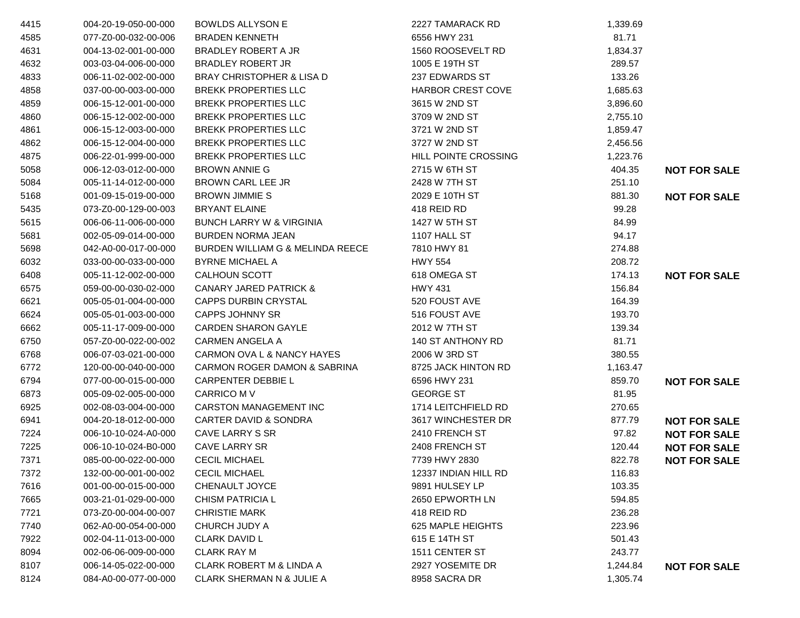| 4415 | 004-20-19-050-00-000 | <b>BOWLDS ALLYSON E</b>              | 2227 TAMARACK RD         | 1,339.69 |                     |
|------|----------------------|--------------------------------------|--------------------------|----------|---------------------|
| 4585 | 077-Z0-00-032-00-006 | <b>BRADEN KENNETH</b>                | 6556 HWY 231             | 81.71    |                     |
| 4631 | 004-13-02-001-00-000 | <b>BRADLEY ROBERT A JR</b>           | 1560 ROOSEVELT RD        | 1,834.37 |                     |
| 4632 | 003-03-04-006-00-000 | <b>BRADLEY ROBERT JR</b>             | 1005 E 19TH ST           | 289.57   |                     |
| 4833 | 006-11-02-002-00-000 | <b>BRAY CHRISTOPHER &amp; LISA D</b> | 237 EDWARDS ST           | 133.26   |                     |
| 4858 | 037-00-00-003-00-000 | <b>BREKK PROPERTIES LLC</b>          | <b>HARBOR CREST COVE</b> | 1,685.63 |                     |
| 4859 | 006-15-12-001-00-000 | <b>BREKK PROPERTIES LLC</b>          | 3615 W 2ND ST            | 3,896.60 |                     |
| 4860 | 006-15-12-002-00-000 | <b>BREKK PROPERTIES LLC</b>          | 3709 W 2ND ST            | 2,755.10 |                     |
| 4861 | 006-15-12-003-00-000 | <b>BREKK PROPERTIES LLC</b>          | 3721 W 2ND ST            | 1,859.47 |                     |
| 4862 | 006-15-12-004-00-000 | <b>BREKK PROPERTIES LLC</b>          | 3727 W 2ND ST            | 2,456.56 |                     |
| 4875 | 006-22-01-999-00-000 | <b>BREKK PROPERTIES LLC</b>          | HILL POINTE CROSSING     | 1,223.76 |                     |
| 5058 | 006-12-03-012-00-000 | <b>BROWN ANNIE G</b>                 | 2715 W 6TH ST            | 404.35   | <b>NOT FOR SALE</b> |
| 5084 | 005-11-14-012-00-000 | BROWN CARL LEE JR                    | 2428 W 7TH ST            | 251.10   |                     |
| 5168 | 001-09-15-019-00-000 | <b>BROWN JIMMIE S</b>                | 2029 E 10TH ST           | 881.30   | <b>NOT FOR SALE</b> |
| 5435 | 073-Z0-00-129-00-003 | <b>BRYANT ELAINE</b>                 | 418 REID RD              | 99.28    |                     |
| 5615 | 006-06-11-006-00-000 | <b>BUNCH LARRY W &amp; VIRGINIA</b>  | 1427 W 5TH ST            | 84.99    |                     |
| 5681 | 002-05-09-014-00-000 | <b>BURDEN NORMA JEAN</b>             | 1107 HALL ST             | 94.17    |                     |
| 5698 | 042-A0-00-017-00-000 | BURDEN WILLIAM G & MELINDA REECE     | 7810 HWY 81              | 274.88   |                     |
| 6032 | 033-00-00-033-00-000 | <b>BYRNE MICHAEL A</b>               | <b>HWY 554</b>           | 208.72   |                     |
| 6408 | 005-11-12-002-00-000 | <b>CALHOUN SCOTT</b>                 | 618 OMEGA ST             | 174.13   | <b>NOT FOR SALE</b> |
| 6575 | 059-00-00-030-02-000 | <b>CANARY JARED PATRICK &amp;</b>    | <b>HWY 431</b>           | 156.84   |                     |
| 6621 | 005-05-01-004-00-000 | <b>CAPPS DURBIN CRYSTAL</b>          | 520 FOUST AVE            | 164.39   |                     |
| 6624 | 005-05-01-003-00-000 | <b>CAPPS JOHNNY SR</b>               | 516 FOUST AVE            | 193.70   |                     |
| 6662 | 005-11-17-009-00-000 | <b>CARDEN SHARON GAYLE</b>           | 2012 W 7TH ST            | 139.34   |                     |
| 6750 | 057-Z0-00-022-00-002 | CARMEN ANGELA A                      | <b>140 ST ANTHONY RD</b> | 81.71    |                     |
| 6768 | 006-07-03-021-00-000 | CARMON OVA L & NANCY HAYES           | 2006 W 3RD ST            | 380.55   |                     |
| 6772 | 120-00-00-040-00-000 | CARMON ROGER DAMON & SABRINA         | 8725 JACK HINTON RD      | 1,163.47 |                     |
| 6794 | 077-00-00-015-00-000 | CARPENTER DEBBIE L                   | 6596 HWY 231             | 859.70   | <b>NOT FOR SALE</b> |
| 6873 | 005-09-02-005-00-000 | CARRICO M V                          | <b>GEORGE ST</b>         | 81.95    |                     |
| 6925 | 002-08-03-004-00-000 | <b>CARSTON MANAGEMENT INC</b>        | 1714 LEITCHFIELD RD      | 270.65   |                     |
| 6941 | 004-20-18-012-00-000 | <b>CARTER DAVID &amp; SONDRA</b>     | 3617 WINCHESTER DR       | 877.79   | <b>NOT FOR SALE</b> |
| 7224 | 006-10-10-024-A0-000 | CAVE LARRY S SR                      | 2410 FRENCH ST           | 97.82    | <b>NOT FOR SALE</b> |
| 7225 | 006-10-10-024-B0-000 | <b>CAVE LARRY SR</b>                 | 2408 FRENCH ST           | 120.44   | <b>NOT FOR SALE</b> |
| 7371 | 085-00-00-022-00-000 | <b>CECIL MICHAEL</b>                 | 7739 HWY 2830            | 822.78   | <b>NOT FOR SALE</b> |
| 7372 | 132-00-00-001-00-002 | <b>CECIL MICHAEL</b>                 | 12337 INDIAN HILL RD     | 116.83   |                     |
| 7616 | 001-00-00-015-00-000 | <b>CHENAULT JOYCE</b>                | 9891 HULSEY LP           | 103.35   |                     |
| 7665 | 003-21-01-029-00-000 | <b>CHISM PATRICIA L</b>              | 2650 EPWORTH LN          | 594.85   |                     |
| 7721 | 073-Z0-00-004-00-007 | <b>CHRISTIE MARK</b>                 | 418 REID RD              | 236.28   |                     |
| 7740 | 062-A0-00-054-00-000 | CHURCH JUDY A                        | 625 MAPLE HEIGHTS        | 223.96   |                     |
| 7922 | 002-04-11-013-00-000 | <b>CLARK DAVID L</b>                 | 615 E 14TH ST            | 501.43   |                     |
| 8094 | 002-06-06-009-00-000 | <b>CLARK RAY M</b>                   | 1511 CENTER ST           | 243.77   |                     |
| 8107 | 006-14-05-022-00-000 | <b>CLARK ROBERT M &amp; LINDA A</b>  | 2927 YOSEMITE DR         | 1,244.84 | <b>NOT FOR SALE</b> |
| 8124 | 084-A0-00-077-00-000 | <b>CLARK SHERMAN N &amp; JULIE A</b> | 8958 SACRA DR            | 1,305.74 |                     |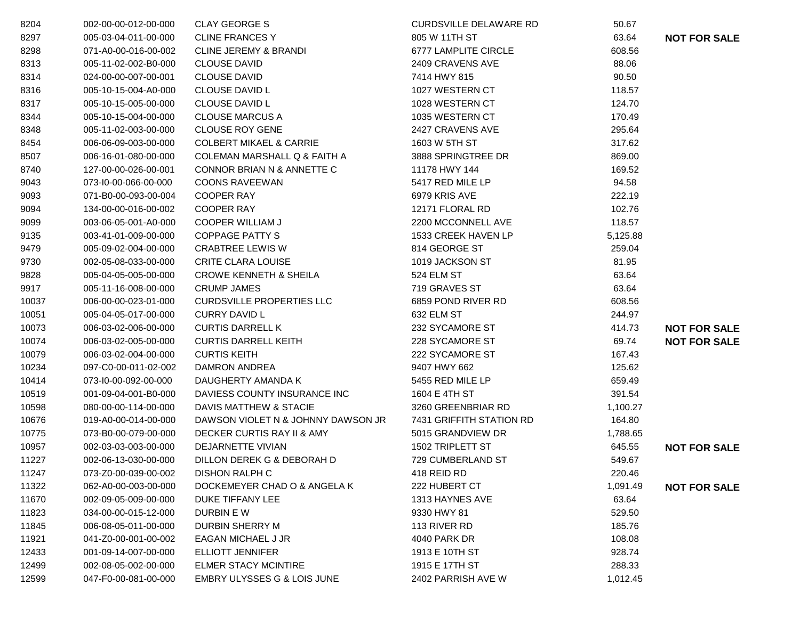| 8204  | 002-00-00-012-00-000 | <b>CLAY GEORGE S</b>               | <b>CURDSVILLE DELAWARE RD</b> | 50.67    |                     |
|-------|----------------------|------------------------------------|-------------------------------|----------|---------------------|
| 8297  | 005-03-04-011-00-000 | <b>CLINE FRANCES Y</b>             | 805 W 11TH ST                 | 63.64    | <b>NOT FOR SALE</b> |
| 8298  | 071-A0-00-016-00-002 | <b>CLINE JEREMY &amp; BRANDI</b>   | 6777 LAMPLITE CIRCLE          | 608.56   |                     |
| 8313  | 005-11-02-002-B0-000 | <b>CLOUSE DAVID</b>                | 2409 CRAVENS AVE              | 88.06    |                     |
| 8314  | 024-00-00-007-00-001 | <b>CLOUSE DAVID</b>                | 7414 HWY 815                  | 90.50    |                     |
| 8316  | 005-10-15-004-A0-000 | <b>CLOUSE DAVID L</b>              | 1027 WESTERN CT               | 118.57   |                     |
| 8317  | 005-10-15-005-00-000 | <b>CLOUSE DAVID L</b>              | 1028 WESTERN CT               | 124.70   |                     |
| 8344  | 005-10-15-004-00-000 | <b>CLOUSE MARCUS A</b>             | 1035 WESTERN CT               | 170.49   |                     |
| 8348  | 005-11-02-003-00-000 | <b>CLOUSE ROY GENE</b>             | 2427 CRAVENS AVE              | 295.64   |                     |
| 8454  | 006-06-09-003-00-000 | <b>COLBERT MIKAEL &amp; CARRIE</b> | 1603 W 5TH ST                 | 317.62   |                     |
| 8507  | 006-16-01-080-00-000 | COLEMAN MARSHALL Q & FAITH A       | 3888 SPRINGTREE DR            | 869.00   |                     |
| 8740  | 127-00-00-026-00-001 | CONNOR BRIAN N & ANNETTE C         | 11178 HWY 144                 | 169.52   |                     |
| 9043  | 073-I0-00-066-00-000 | <b>COONS RAVEEWAN</b>              | 5417 RED MILE LP              | 94.58    |                     |
| 9093  | 071-B0-00-093-00-004 | <b>COOPER RAY</b>                  | 6979 KRIS AVE                 | 222.19   |                     |
| 9094  | 134-00-00-016-00-002 | <b>COOPER RAY</b>                  | 12171 FLORAL RD               | 102.76   |                     |
| 9099  | 003-06-05-001-A0-000 | <b>COOPER WILLIAM J</b>            | 2200 MCCONNELL AVE            | 118.57   |                     |
| 9135  | 003-41-01-009-00-000 | <b>COPPAGE PATTY S</b>             | 1533 CREEK HAVEN LP           | 5,125.88 |                     |
| 9479  | 005-09-02-004-00-000 | <b>CRABTREE LEWIS W</b>            | 814 GEORGE ST                 | 259.04   |                     |
| 9730  | 002-05-08-033-00-000 | <b>CRITE CLARA LOUISE</b>          | 1019 JACKSON ST               | 81.95    |                     |
| 9828  | 005-04-05-005-00-000 | <b>CROWE KENNETH &amp; SHEILA</b>  | 524 ELM ST                    | 63.64    |                     |
| 9917  | 005-11-16-008-00-000 | <b>CRUMP JAMES</b>                 | 719 GRAVES ST                 | 63.64    |                     |
| 10037 | 006-00-00-023-01-000 | <b>CURDSVILLE PROPERTIES LLC</b>   | 6859 POND RIVER RD            | 608.56   |                     |
| 10051 | 005-04-05-017-00-000 | <b>CURRY DAVID L</b>               | 632 ELM ST                    | 244.97   |                     |
| 10073 | 006-03-02-006-00-000 | <b>CURTIS DARRELL K</b>            | 232 SYCAMORE ST               | 414.73   | <b>NOT FOR SALE</b> |
| 10074 | 006-03-02-005-00-000 | <b>CURTIS DARRELL KEITH</b>        | 228 SYCAMORE ST               | 69.74    | <b>NOT FOR SALE</b> |
| 10079 | 006-03-02-004-00-000 | <b>CURTIS KEITH</b>                | 222 SYCAMORE ST               | 167.43   |                     |
| 10234 | 097-C0-00-011-02-002 | DAMRON ANDREA                      | 9407 HWY 662                  | 125.62   |                     |
| 10414 | 073-I0-00-092-00-000 | DAUGHERTY AMANDA K                 | 5455 RED MILE LP              | 659.49   |                     |
| 10519 | 001-09-04-001-B0-000 | DAVIESS COUNTY INSURANCE INC       | 1604 E 4TH ST                 | 391.54   |                     |
| 10598 | 080-00-00-114-00-000 | DAVIS MATTHEW & STACIE             | 3260 GREENBRIAR RD            | 1,100.27 |                     |
| 10676 | 019-A0-00-014-00-000 | DAWSON VIOLET N & JOHNNY DAWSON JR | 7431 GRIFFITH STATION RD      | 164.80   |                     |
| 10775 | 073-B0-00-079-00-000 | DECKER CURTIS RAY II & AMY         | 5015 GRANDVIEW DR             | 1,788.65 |                     |
| 10957 | 002-03-03-003-00-000 | DEJARNETTE VIVIAN                  | 1502 TRIPLETT ST              | 645.55   | <b>NOT FOR SALE</b> |
| 11227 | 002-06-13-030-00-000 | DILLON DEREK G & DEBORAH D         | 729 CUMBERLAND ST             | 549.67   |                     |
| 11247 | 073-Z0-00-039-00-002 | <b>DISHON RALPH C</b>              | 418 REID RD                   | 220.46   |                     |
| 11322 | 062-A0-00-003-00-000 | DOCKEMEYER CHAD O & ANGELA K       | 222 HUBERT CT                 | 1,091.49 | <b>NOT FOR SALE</b> |
| 11670 | 002-09-05-009-00-000 | DUKE TIFFANY LEE                   | 1313 HAYNES AVE               | 63.64    |                     |
| 11823 | 034-00-00-015-12-000 | DURBIN E W                         | 9330 HWY 81                   | 529.50   |                     |
| 11845 | 006-08-05-011-00-000 | DURBIN SHERRY M                    | 113 RIVER RD                  | 185.76   |                     |
| 11921 | 041-Z0-00-001-00-002 | EAGAN MICHAEL J JR                 | 4040 PARK DR                  | 108.08   |                     |
| 12433 | 001-09-14-007-00-000 | ELLIOTT JENNIFER                   | 1913 E 10TH ST                | 928.74   |                     |
| 12499 | 002-08-05-002-00-000 | <b>ELMER STACY MCINTIRE</b>        | 1915 E 17TH ST                | 288.33   |                     |
| 12599 | 047-F0-00-081-00-000 | EMBRY ULYSSES G & LOIS JUNE        | 2402 PARRISH AVE W            | 1,012.45 |                     |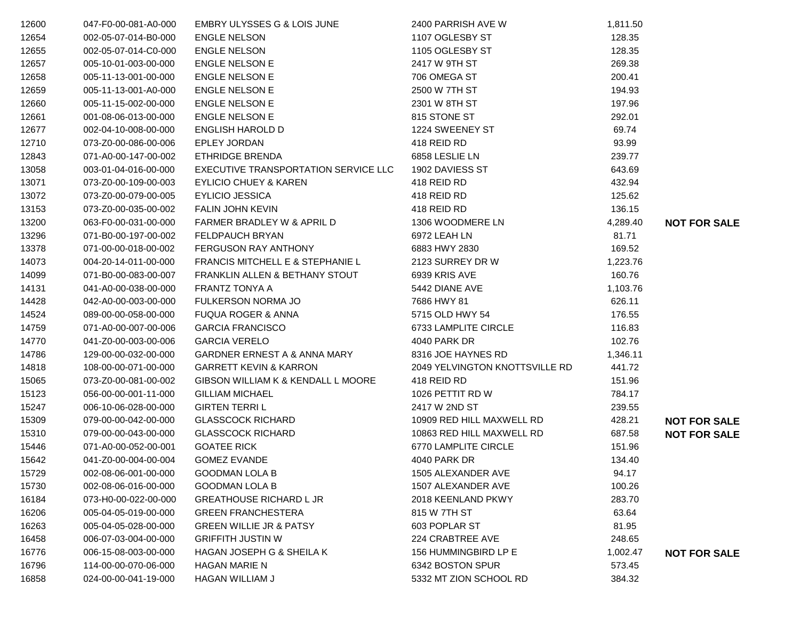| 12600 | 047-F0-00-081-A0-000 | <b>EMBRY ULYSSES G &amp; LOIS JUNE</b>  | 2400 PARRISH AVE W             | 1,811.50 |                     |
|-------|----------------------|-----------------------------------------|--------------------------------|----------|---------------------|
| 12654 | 002-05-07-014-B0-000 | <b>ENGLE NELSON</b>                     | 1107 OGLESBY ST                | 128.35   |                     |
| 12655 | 002-05-07-014-C0-000 | <b>ENGLE NELSON</b>                     | 1105 OGLESBY ST                | 128.35   |                     |
| 12657 | 005-10-01-003-00-000 | <b>ENGLE NELSON E</b>                   | 2417 W 9TH ST                  | 269.38   |                     |
| 12658 | 005-11-13-001-00-000 | <b>ENGLE NELSON E</b>                   | 706 OMEGA ST                   | 200.41   |                     |
| 12659 | 005-11-13-001-A0-000 | <b>ENGLE NELSON E</b>                   | 2500 W 7TH ST                  | 194.93   |                     |
| 12660 | 005-11-15-002-00-000 | <b>ENGLE NELSON E</b>                   | 2301 W 8TH ST                  | 197.96   |                     |
| 12661 | 001-08-06-013-00-000 | <b>ENGLE NELSON E</b>                   | 815 STONE ST                   | 292.01   |                     |
| 12677 | 002-04-10-008-00-000 | ENGLISH HAROLD D                        | 1224 SWEENEY ST                | 69.74    |                     |
| 12710 | 073-Z0-00-086-00-006 | EPLEY JORDAN                            | 418 REID RD                    | 93.99    |                     |
| 12843 | 071-A0-00-147-00-002 | <b>ETHRIDGE BRENDA</b>                  | 6858 LESLIE LN                 | 239.77   |                     |
| 13058 | 003-01-04-016-00-000 | EXECUTIVE TRANSPORTATION SERVICE LLC    | 1902 DAVIESS ST                | 643.69   |                     |
| 13071 | 073-Z0-00-109-00-003 | <b>EYLICIO CHUEY &amp; KAREN</b>        | 418 REID RD                    | 432.94   |                     |
| 13072 | 073-Z0-00-079-00-005 | EYLICIO JESSICA                         | 418 REID RD                    | 125.62   |                     |
| 13153 | 073-Z0-00-035-00-002 | <b>FALIN JOHN KEVIN</b>                 | 418 REID RD                    | 136.15   |                     |
| 13200 | 063-F0-00-031-00-000 | FARMER BRADLEY W & APRIL D              | 1306 WOODMERE LN               | 4,289.40 | <b>NOT FOR SALE</b> |
| 13296 | 071-B0-00-197-00-002 | FELDPAUCH BRYAN                         | 6972 LEAH LN                   | 81.71    |                     |
| 13378 | 071-00-00-018-00-002 | FERGUSON RAY ANTHONY                    | 6883 HWY 2830                  | 169.52   |                     |
| 14073 | 004-20-14-011-00-000 | FRANCIS MITCHELL E & STEPHANIE L        | 2123 SURREY DR W               | 1,223.76 |                     |
| 14099 | 071-B0-00-083-00-007 | FRANKLIN ALLEN & BETHANY STOUT          | 6939 KRIS AVE                  | 160.76   |                     |
| 14131 | 041-A0-00-038-00-000 | <b>FRANTZ TONYA A</b>                   | 5442 DIANE AVE                 | 1,103.76 |                     |
| 14428 | 042-A0-00-003-00-000 | FULKERSON NORMA JO                      | 7686 HWY 81                    | 626.11   |                     |
| 14524 | 089-00-00-058-00-000 | <b>FUQUA ROGER &amp; ANNA</b>           | 5715 OLD HWY 54                | 176.55   |                     |
| 14759 | 071-A0-00-007-00-006 | <b>GARCIA FRANCISCO</b>                 | 6733 LAMPLITE CIRCLE           | 116.83   |                     |
| 14770 | 041-Z0-00-003-00-006 | <b>GARCIA VERELO</b>                    | 4040 PARK DR                   | 102.76   |                     |
| 14786 | 129-00-00-032-00-000 | <b>GARDNER ERNEST A &amp; ANNA MARY</b> | 8316 JOE HAYNES RD             | 1,346.11 |                     |
| 14818 | 108-00-00-071-00-000 | <b>GARRETT KEVIN &amp; KARRON</b>       | 2049 YELVINGTON KNOTTSVILLE RD | 441.72   |                     |
| 15065 | 073-Z0-00-081-00-002 | GIBSON WILLIAM K & KENDALL L MOORE      | 418 REID RD                    | 151.96   |                     |
| 15123 | 056-00-00-001-11-000 | <b>GILLIAM MICHAEL</b>                  | 1026 PETTIT RD W               | 784.17   |                     |
| 15247 | 006-10-06-028-00-000 | <b>GIRTEN TERRIL</b>                    | 2417 W 2ND ST                  | 239.55   |                     |
| 15309 | 079-00-00-042-00-000 | <b>GLASSCOCK RICHARD</b>                | 10909 RED HILL MAXWELL RD      | 428.21   | <b>NOT FOR SALE</b> |
| 15310 | 079-00-00-043-00-000 | <b>GLASSCOCK RICHARD</b>                | 10863 RED HILL MAXWELL RD      | 687.58   | <b>NOT FOR SALE</b> |
| 15446 | 071-A0-00-052-00-001 | <b>GOATEE RICK</b>                      | 6770 LAMPLITE CIRCLE           | 151.96   |                     |
| 15642 | 041-Z0-00-004-00-004 | <b>GOMEZ EVANDE</b>                     | 4040 PARK DR                   | 134.40   |                     |
| 15729 | 002-08-06-001-00-000 | <b>GOODMAN LOLA B</b>                   | 1505 ALEXANDER AVE             | 94.17    |                     |
| 15730 | 002-08-06-016-00-000 | <b>GOODMAN LOLA B</b>                   | 1507 ALEXANDER AVE             | 100.26   |                     |
| 16184 | 073-H0-00-022-00-000 | <b>GREATHOUSE RICHARD L JR</b>          | 2018 KEENLAND PKWY             | 283.70   |                     |
| 16206 | 005-04-05-019-00-000 | <b>GREEN FRANCHESTERA</b>               | 815 W 7TH ST                   | 63.64    |                     |
| 16263 | 005-04-05-028-00-000 | <b>GREEN WILLIE JR &amp; PATSY</b>      | 603 POPLAR ST                  | 81.95    |                     |
| 16458 | 006-07-03-004-00-000 | <b>GRIFFITH JUSTIN W</b>                | 224 CRABTREE AVE               | 248.65   |                     |
| 16776 | 006-15-08-003-00-000 | HAGAN JOSEPH G & SHEILA K               | 156 HUMMINGBIRD LP E           | 1,002.47 | <b>NOT FOR SALE</b> |
| 16796 | 114-00-00-070-06-000 | <b>HAGAN MARIE N</b>                    | 6342 BOSTON SPUR               | 573.45   |                     |
| 16858 | 024-00-00-041-19-000 | HAGAN WILLIAM J                         | 5332 MT ZION SCHOOL RD         | 384.32   |                     |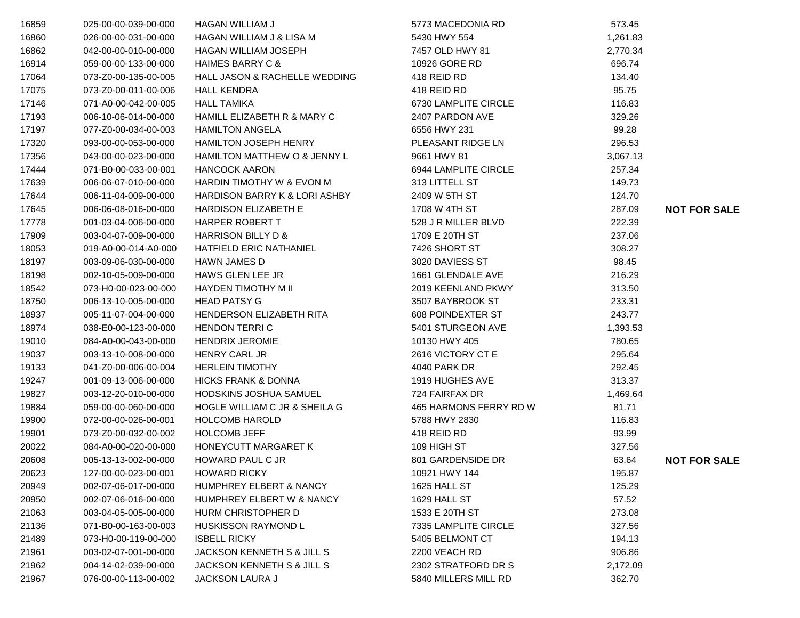| 16859 | 025-00-00-039-00-000 | <b>HAGAN WILLIAM J</b>                   | 5773 MACEDONIA RD      | 573.45   |                     |
|-------|----------------------|------------------------------------------|------------------------|----------|---------------------|
| 16860 | 026-00-00-031-00-000 | HAGAN WILLIAM J & LISA M                 | 5430 HWY 554           | 1,261.83 |                     |
| 16862 | 042-00-00-010-00-000 | <b>HAGAN WILLIAM JOSEPH</b>              | 7457 OLD HWY 81        | 2,770.34 |                     |
| 16914 | 059-00-00-133-00-000 | <b>HAIMES BARRY C &amp;</b>              | 10926 GORE RD          | 696.74   |                     |
| 17064 | 073-Z0-00-135-00-005 | <b>HALL JASON &amp; RACHELLE WEDDING</b> | 418 REID RD            | 134.40   |                     |
| 17075 | 073-Z0-00-011-00-006 | <b>HALL KENDRA</b>                       | 418 REID RD            | 95.75    |                     |
| 17146 | 071-A0-00-042-00-005 | <b>HALL TAMIKA</b>                       | 6730 LAMPLITE CIRCLE   | 116.83   |                     |
| 17193 | 006-10-06-014-00-000 | HAMILL ELIZABETH R & MARY C              | 2407 PARDON AVE        | 329.26   |                     |
| 17197 | 077-Z0-00-034-00-003 | <b>HAMILTON ANGELA</b>                   | 6556 HWY 231           | 99.28    |                     |
| 17320 | 093-00-00-053-00-000 | HAMILTON JOSEPH HENRY                    | PLEASANT RIDGE LN      | 296.53   |                     |
| 17356 | 043-00-00-023-00-000 | HAMILTON MATTHEW O & JENNY L             | 9661 HWY 81            | 3,067.13 |                     |
| 17444 | 071-B0-00-033-00-001 | <b>HANCOCK AARON</b>                     | 6944 LAMPLITE CIRCLE   | 257.34   |                     |
| 17639 | 006-06-07-010-00-000 | HARDIN TIMOTHY W & EVON M                | 313 LITTELL ST         | 149.73   |                     |
| 17644 | 006-11-04-009-00-000 | HARDISON BARRY K & LORI ASHBY            | 2409 W 5TH ST          | 124.70   |                     |
| 17645 | 006-06-08-016-00-000 | <b>HARDISON ELIZABETH E</b>              | 1708 W 4TH ST          | 287.09   | <b>NOT FOR SALE</b> |
| 17778 | 001-03-04-006-00-000 | HARPER ROBERT T                          | 528 J R MILLER BLVD    | 222.39   |                     |
| 17909 | 003-04-07-009-00-000 | HARRISON BILLY D &                       | 1709 E 20TH ST         | 237.06   |                     |
| 18053 | 019-A0-00-014-A0-000 | HATFIELD ERIC NATHANIEL                  | 7426 SHORT ST          | 308.27   |                     |
| 18197 | 003-09-06-030-00-000 | <b>HAWN JAMES D</b>                      | 3020 DAVIESS ST        | 98.45    |                     |
| 18198 | 002-10-05-009-00-000 | HAWS GLEN LEE JR                         | 1661 GLENDALE AVE      | 216.29   |                     |
| 18542 | 073-H0-00-023-00-000 | HAYDEN TIMOTHY M II                      | 2019 KEENLAND PKWY     | 313.50   |                     |
| 18750 | 006-13-10-005-00-000 | <b>HEAD PATSY G</b>                      | 3507 BAYBROOK ST       | 233.31   |                     |
| 18937 | 005-11-07-004-00-000 | HENDERSON ELIZABETH RITA                 | 608 POINDEXTER ST      | 243.77   |                     |
| 18974 | 038-E0-00-123-00-000 | <b>HENDON TERRIC</b>                     | 5401 STURGEON AVE      | 1,393.53 |                     |
| 19010 | 084-A0-00-043-00-000 | <b>HENDRIX JEROMIE</b>                   | 10130 HWY 405          | 780.65   |                     |
| 19037 | 003-13-10-008-00-000 | <b>HENRY CARL JR</b>                     | 2616 VICTORY CT E      | 295.64   |                     |
| 19133 | 041-Z0-00-006-00-004 | <b>HERLEIN TIMOTHY</b>                   | 4040 PARK DR           | 292.45   |                     |
| 19247 | 001-09-13-006-00-000 | <b>HICKS FRANK &amp; DONNA</b>           | 1919 HUGHES AVE        | 313.37   |                     |
| 19827 | 003-12-20-010-00-000 | HODSKINS JOSHUA SAMUEL                   | 724 FAIRFAX DR         | 1,469.64 |                     |
| 19884 | 059-00-00-060-00-000 | HOGLE WILLIAM C JR & SHEILA G            | 465 HARMONS FERRY RD W | 81.71    |                     |
| 19900 | 072-00-00-026-00-001 | <b>HOLCOMB HAROLD</b>                    | 5788 HWY 2830          | 116.83   |                     |
| 19901 | 073-Z0-00-032-00-002 | <b>HOLCOMB JEFF</b>                      | 418 REID RD            | 93.99    |                     |
| 20022 | 084-A0-00-020-00-000 | HONEYCUTT MARGARET K                     | 109 HIGH ST            | 327.56   |                     |
| 20608 | 005-13-13-002-00-000 | <b>HOWARD PAUL C JR</b>                  | 801 GARDENSIDE DR      | 63.64    | <b>NOT FOR SALE</b> |
| 20623 | 127-00-00-023-00-001 | <b>HOWARD RICKY</b>                      | 10921 HWY 144          | 195.87   |                     |
| 20949 | 002-07-06-017-00-000 | HUMPHREY ELBERT & NANCY                  | 1625 HALL ST           | 125.29   |                     |
| 20950 | 002-07-06-016-00-000 | HUMPHREY ELBERT W & NANCY                | 1629 HALL ST           | 57.52    |                     |
| 21063 | 003-04-05-005-00-000 | HURM CHRISTOPHER D                       | 1533 E 20TH ST         | 273.08   |                     |
| 21136 | 071-B0-00-163-00-003 | <b>HUSKISSON RAYMOND L</b>               | 7335 LAMPLITE CIRCLE   | 327.56   |                     |
| 21489 | 073-H0-00-119-00-000 | <b>ISBELL RICKY</b>                      | 5405 BELMONT CT        | 194.13   |                     |
| 21961 | 003-02-07-001-00-000 | JACKSON KENNETH S & JILL S               | 2200 VEACH RD          | 906.86   |                     |
| 21962 | 004-14-02-039-00-000 | <b>JACKSON KENNETH S &amp; JILL S</b>    | 2302 STRATFORD DR S    | 2,172.09 |                     |
| 21967 | 076-00-00-113-00-002 | JACKSON LAURA J                          | 5840 MILLERS MILL RD   | 362.70   |                     |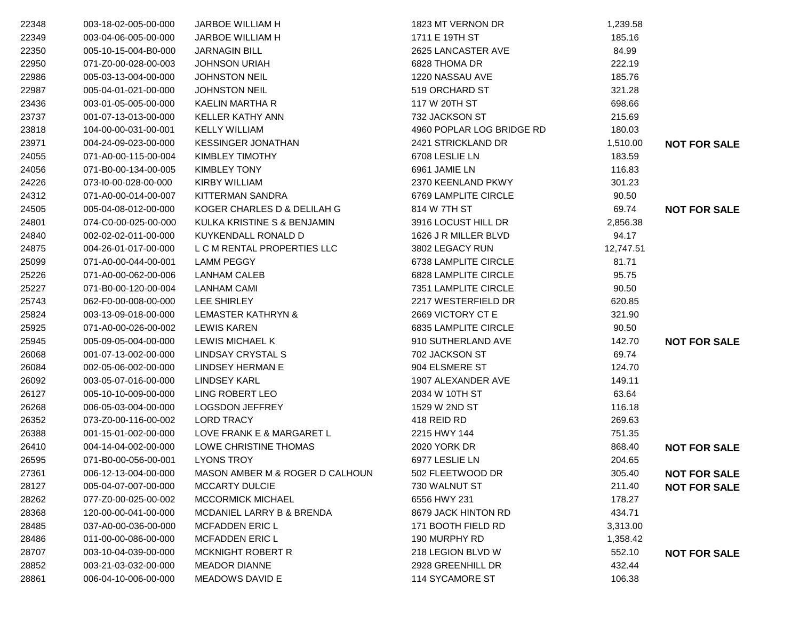| 22348 | 003-18-02-005-00-000 | JARBOE WILLIAM H                | 1823 MT VERNON DR           | 1,239.58  |                     |
|-------|----------------------|---------------------------------|-----------------------------|-----------|---------------------|
| 22349 | 003-04-06-005-00-000 | <b>JARBOE WILLIAM H</b>         | 1711 E 19TH ST              | 185.16    |                     |
| 22350 | 005-10-15-004-B0-000 | <b>JARNAGIN BILL</b>            | 2625 LANCASTER AVE          | 84.99     |                     |
| 22950 | 071-Z0-00-028-00-003 | <b>JOHNSON URIAH</b>            | 6828 THOMA DR               | 222.19    |                     |
| 22986 | 005-03-13-004-00-000 | <b>JOHNSTON NEIL</b>            | 1220 NASSAU AVE             | 185.76    |                     |
| 22987 | 005-04-01-021-00-000 | <b>JOHNSTON NEIL</b>            | 519 ORCHARD ST              | 321.28    |                     |
| 23436 | 003-01-05-005-00-000 | KAELIN MARTHA R                 | 117 W 20TH ST               | 698.66    |                     |
| 23737 | 001-07-13-013-00-000 | <b>KELLER KATHY ANN</b>         | 732 JACKSON ST              | 215.69    |                     |
| 23818 | 104-00-00-031-00-001 | <b>KELLY WILLIAM</b>            | 4960 POPLAR LOG BRIDGE RD   | 180.03    |                     |
| 23971 | 004-24-09-023-00-000 | <b>KESSINGER JONATHAN</b>       | 2421 STRICKLAND DR          | 1,510.00  | <b>NOT FOR SALE</b> |
| 24055 | 071-A0-00-115-00-004 | KIMBLEY TIMOTHY                 | 6708 LESLIE LN              | 183.59    |                     |
| 24056 | 071-B0-00-134-00-005 | <b>KIMBLEY TONY</b>             | 6961 JAMIE LN               | 116.83    |                     |
| 24226 | 073-I0-00-028-00-000 | <b>KIRBY WILLIAM</b>            | 2370 KEENLAND PKWY          | 301.23    |                     |
| 24312 | 071-A0-00-014-00-007 | <b>KITTERMAN SANDRA</b>         | 6769 LAMPLITE CIRCLE        | 90.50     |                     |
| 24505 | 005-04-08-012-00-000 | KOGER CHARLES D & DELILAH G     | 814 W 7TH ST                | 69.74     | <b>NOT FOR SALE</b> |
| 24801 | 074-C0-00-025-00-000 | KULKA KRISTINE S & BENJAMIN     | 3916 LOCUST HILL DR         | 2,856.38  |                     |
| 24840 | 002-02-02-011-00-000 | KUYKENDALL RONALD D             | 1626 J R MILLER BLVD        | 94.17     |                     |
| 24875 | 004-26-01-017-00-000 | L C M RENTAL PROPERTIES LLC     | 3802 LEGACY RUN             | 12,747.51 |                     |
| 25099 | 071-A0-00-044-00-001 | <b>LAMM PEGGY</b>               | 6738 LAMPLITE CIRCLE        | 81.71     |                     |
| 25226 | 071-A0-00-062-00-006 | <b>LANHAM CALEB</b>             | <b>6828 LAMPLITE CIRCLE</b> | 95.75     |                     |
| 25227 | 071-B0-00-120-00-004 | <b>LANHAM CAMI</b>              | 7351 LAMPLITE CIRCLE        | 90.50     |                     |
| 25743 | 062-F0-00-008-00-000 | LEE SHIRLEY                     | 2217 WESTERFIELD DR         | 620.85    |                     |
| 25824 | 003-13-09-018-00-000 | LEMASTER KATHRYN &              | 2669 VICTORY CT E           | 321.90    |                     |
| 25925 | 071-A0-00-026-00-002 | <b>LEWIS KAREN</b>              | 6835 LAMPLITE CIRCLE        | 90.50     |                     |
| 25945 | 005-09-05-004-00-000 | LEWIS MICHAEL K                 | 910 SUTHERLAND AVE          | 142.70    | <b>NOT FOR SALE</b> |
| 26068 | 001-07-13-002-00-000 | LINDSAY CRYSTAL S               | 702 JACKSON ST              | 69.74     |                     |
| 26084 | 002-05-06-002-00-000 | <b>LINDSEY HERMAN E</b>         | 904 ELSMERE ST              | 124.70    |                     |
| 26092 | 003-05-07-016-00-000 | <b>LINDSEY KARL</b>             | 1907 ALEXANDER AVE          | 149.11    |                     |
| 26127 | 005-10-10-009-00-000 | LING ROBERT LEO                 | 2034 W 10TH ST              | 63.64     |                     |
| 26268 | 006-05-03-004-00-000 | <b>LOGSDON JEFFREY</b>          | 1529 W 2ND ST               | 116.18    |                     |
| 26352 | 073-Z0-00-116-00-002 | <b>LORD TRACY</b>               | 418 REID RD                 | 269.63    |                     |
| 26388 | 001-15-01-002-00-000 | LOVE FRANK E & MARGARET L       | 2215 HWY 144                | 751.35    |                     |
| 26410 | 004-14-04-002-00-000 | LOWE CHRISTINE THOMAS           | 2020 YORK DR                | 868.40    | <b>NOT FOR SALE</b> |
| 26595 | 071-B0-00-056-00-001 | <b>LYONS TROY</b>               | 6977 LESLIE LN              | 204.65    |                     |
| 27361 | 006-12-13-004-00-000 | MASON AMBER M & ROGER D CALHOUN | 502 FLEETWOOD DR            | 305.40    | <b>NOT FOR SALE</b> |
| 28127 | 005-04-07-007-00-000 | <b>MCCARTY DULCIE</b>           | 730 WALNUT ST               | 211.40    | <b>NOT FOR SALE</b> |
| 28262 | 077-Z0-00-025-00-002 | <b>MCCORMICK MICHAEL</b>        | 6556 HWY 231                | 178.27    |                     |
| 28368 | 120-00-00-041-00-000 | MCDANIEL LARRY B & BRENDA       | 8679 JACK HINTON RD         | 434.71    |                     |
| 28485 | 037-A0-00-036-00-000 | <b>MCFADDEN ERIC L</b>          | 171 BOOTH FIELD RD          | 3,313.00  |                     |
| 28486 | 011-00-00-086-00-000 | <b>MCFADDEN ERIC L</b>          | 190 MURPHY RD               | 1,358.42  |                     |
| 28707 | 003-10-04-039-00-000 | <b>MCKNIGHT ROBERT R</b>        | 218 LEGION BLVD W           | 552.10    | <b>NOT FOR SALE</b> |
| 28852 | 003-21-03-032-00-000 | <b>MEADOR DIANNE</b>            | 2928 GREENHILL DR           | 432.44    |                     |
| 28861 | 006-04-10-006-00-000 | MEADOWS DAVID E                 | 114 SYCAMORE ST             | 106.38    |                     |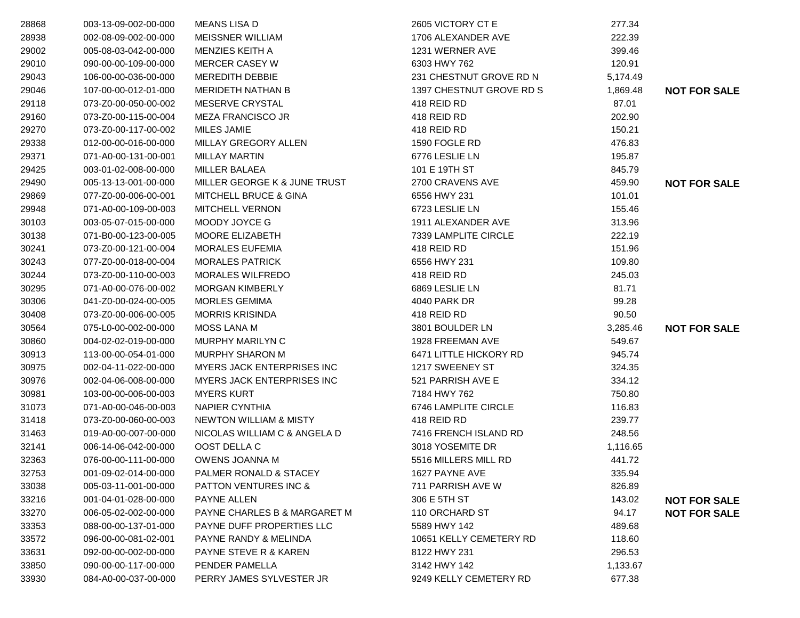| 28868 | 003-13-09-002-00-000 | <b>MEANS LISA D</b>               | 2605 VICTORY CT E        | 277.34   |                     |
|-------|----------------------|-----------------------------------|--------------------------|----------|---------------------|
| 28938 | 002-08-09-002-00-000 | <b>MEISSNER WILLIAM</b>           | 1706 ALEXANDER AVE       | 222.39   |                     |
| 29002 | 005-08-03-042-00-000 | MENZIES KEITH A                   | 1231 WERNER AVE          | 399.46   |                     |
| 29010 | 090-00-00-109-00-000 | <b>MERCER CASEY W</b>             | 6303 HWY 762             | 120.91   |                     |
| 29043 | 106-00-00-036-00-000 | <b>MEREDITH DEBBIE</b>            | 231 CHESTNUT GROVE RD N  | 5,174.49 |                     |
| 29046 | 107-00-00-012-01-000 | MERIDETH NATHAN B                 | 1397 CHESTNUT GROVE RD S | 1,869.48 | <b>NOT FOR SALE</b> |
| 29118 | 073-Z0-00-050-00-002 | MESERVE CRYSTAL                   | 418 REID RD              | 87.01    |                     |
| 29160 | 073-Z0-00-115-00-004 | <b>MEZA FRANCISCO JR</b>          | 418 REID RD              | 202.90   |                     |
| 29270 | 073-Z0-00-117-00-002 | <b>MILES JAMIE</b>                | 418 REID RD              | 150.21   |                     |
| 29338 | 012-00-00-016-00-000 | MILLAY GREGORY ALLEN              | 1590 FOGLE RD            | 476.83   |                     |
| 29371 | 071-A0-00-131-00-001 | <b>MILLAY MARTIN</b>              | 6776 LESLIE LN           | 195.87   |                     |
| 29425 | 003-01-02-008-00-000 | <b>MILLER BALAEA</b>              | 101 E 19TH ST            | 845.79   |                     |
| 29490 | 005-13-13-001-00-000 | MILLER GEORGE K & JUNE TRUST      | 2700 CRAVENS AVE         | 459.90   | <b>NOT FOR SALE</b> |
| 29869 | 077-Z0-00-006-00-001 | <b>MITCHELL BRUCE &amp; GINA</b>  | 6556 HWY 231             | 101.01   |                     |
| 29948 | 071-A0-00-109-00-003 | <b>MITCHELL VERNON</b>            | 6723 LESLIE LN           | 155.46   |                     |
| 30103 | 003-05-07-015-00-000 | MOODY JOYCE G                     | 1911 ALEXANDER AVE       | 313.96   |                     |
| 30138 | 071-B0-00-123-00-005 | MOORE ELIZABETH                   | 7339 LAMPLITE CIRCLE     | 222.19   |                     |
| 30241 | 073-Z0-00-121-00-004 | <b>MORALES EUFEMIA</b>            | 418 REID RD              | 151.96   |                     |
| 30243 | 077-Z0-00-018-00-004 | <b>MORALES PATRICK</b>            | 6556 HWY 231             | 109.80   |                     |
| 30244 | 073-Z0-00-110-00-003 | <b>MORALES WILFREDO</b>           | 418 REID RD              | 245.03   |                     |
| 30295 | 071-A0-00-076-00-002 | <b>MORGAN KIMBERLY</b>            | 6869 LESLIE LN           | 81.71    |                     |
| 30306 | 041-Z0-00-024-00-005 | <b>MORLES GEMIMA</b>              | 4040 PARK DR             | 99.28    |                     |
| 30408 | 073-Z0-00-006-00-005 | <b>MORRIS KRISINDA</b>            | 418 REID RD              | 90.50    |                     |
| 30564 | 075-L0-00-002-00-000 | <b>MOSS LANA M</b>                | 3801 BOULDER LN          | 3,285.46 | <b>NOT FOR SALE</b> |
| 30860 | 004-02-02-019-00-000 | MURPHY MARILYN C                  | 1928 FREEMAN AVE         | 549.67   |                     |
| 30913 | 113-00-00-054-01-000 | <b>MURPHY SHARON M</b>            | 6471 LITTLE HICKORY RD   | 945.74   |                     |
| 30975 | 002-04-11-022-00-000 | <b>MYERS JACK ENTERPRISES INC</b> | 1217 SWEENEY ST          | 324.35   |                     |
| 30976 | 002-04-06-008-00-000 | <b>MYERS JACK ENTERPRISES INC</b> | 521 PARRISH AVE E        | 334.12   |                     |
| 30981 | 103-00-00-006-00-003 | <b>MYERS KURT</b>                 | 7184 HWY 762             | 750.80   |                     |
| 31073 | 071-A0-00-046-00-003 | <b>NAPIER CYNTHIA</b>             | 6746 LAMPLITE CIRCLE     | 116.83   |                     |
| 31418 | 073-Z0-00-060-00-003 | NEWTON WILLIAM & MISTY            | 418 REID RD              | 239.77   |                     |
| 31463 | 019-A0-00-007-00-000 | NICOLAS WILLIAM C & ANGELA D      | 7416 FRENCH ISLAND RD    | 248.56   |                     |
| 32141 | 006-14-06-042-00-000 | OOST DELLA C                      | 3018 YOSEMITE DR         | 1,116.65 |                     |
| 32363 | 076-00-00-111-00-000 | <b>OWENS JOANNA M</b>             | 5516 MILLERS MILL RD     | 441.72   |                     |
| 32753 | 001-09-02-014-00-000 | PALMER RONALD & STACEY            | 1627 PAYNE AVE           | 335.94   |                     |
| 33038 | 005-03-11-001-00-000 | <b>PATTON VENTURES INC &amp;</b>  | 711 PARRISH AVE W        | 826.89   |                     |
| 33216 | 001-04-01-028-00-000 | PAYNE ALLEN                       | 306 E 5TH ST             | 143.02   | <b>NOT FOR SALE</b> |
| 33270 | 006-05-02-002-00-000 | PAYNE CHARLES B & MARGARET M      | 110 ORCHARD ST           | 94.17    | <b>NOT FOR SALE</b> |
| 33353 | 088-00-00-137-01-000 | PAYNE DUFF PROPERTIES LLC         | 5589 HWY 142             | 489.68   |                     |
| 33572 | 096-00-00-081-02-001 | PAYNE RANDY & MELINDA             | 10651 KELLY CEMETERY RD  | 118.60   |                     |
| 33631 | 092-00-00-002-00-000 | <b>PAYNE STEVE R &amp; KAREN</b>  | 8122 HWY 231             | 296.53   |                     |
| 33850 | 090-00-00-117-00-000 | PENDER PAMELLA                    | 3142 HWY 142             | 1,133.67 |                     |
| 33930 | 084-A0-00-037-00-000 | PERRY JAMES SYLVESTER JR          | 9249 KELLY CEMETERY RD   | 677.38   |                     |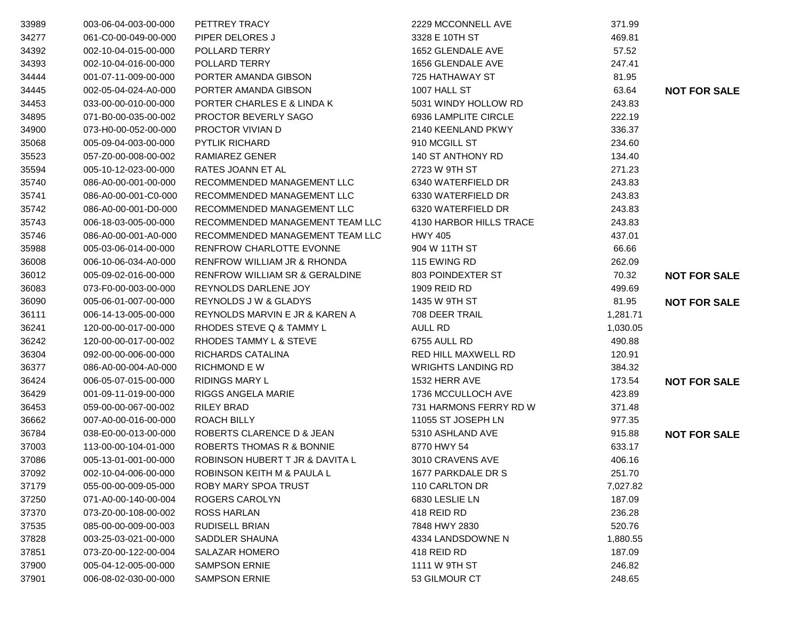| 33989 | 003-06-04-003-00-000 | PETTREY TRACY                   | 2229 MCCONNELL AVE        | 371.99   |                     |
|-------|----------------------|---------------------------------|---------------------------|----------|---------------------|
| 34277 | 061-C0-00-049-00-000 | PIPER DELORES J                 | 3328 E 10TH ST            | 469.81   |                     |
| 34392 | 002-10-04-015-00-000 | POLLARD TERRY                   | 1652 GLENDALE AVE         | 57.52    |                     |
| 34393 | 002-10-04-016-00-000 | POLLARD TERRY                   | 1656 GLENDALE AVE         | 247.41   |                     |
| 34444 | 001-07-11-009-00-000 | PORTER AMANDA GIBSON            | 725 HATHAWAY ST           | 81.95    |                     |
| 34445 | 002-05-04-024-A0-000 | PORTER AMANDA GIBSON            | 1007 HALL ST              | 63.64    | <b>NOT FOR SALE</b> |
| 34453 | 033-00-00-010-00-000 | PORTER CHARLES E & LINDA K      | 5031 WINDY HOLLOW RD      | 243.83   |                     |
| 34895 | 071-B0-00-035-00-002 | PROCTOR BEVERLY SAGO            | 6936 LAMPLITE CIRCLE      | 222.19   |                     |
| 34900 | 073-H0-00-052-00-000 | PROCTOR VIVIAN D                | 2140 KEENLAND PKWY        | 336.37   |                     |
| 35068 | 005-09-04-003-00-000 | PYTLIK RICHARD                  | 910 MCGILL ST             | 234.60   |                     |
| 35523 | 057-Z0-00-008-00-002 | RAMIAREZ GENER                  | 140 ST ANTHONY RD         | 134.40   |                     |
| 35594 | 005-10-12-023-00-000 | RATES JOANN ET AL               | 2723 W 9TH ST             | 271.23   |                     |
| 35740 | 086-A0-00-001-00-000 | RECOMMENDED MANAGEMENT LLC      | 6340 WATERFIELD DR        | 243.83   |                     |
| 35741 | 086-A0-00-001-C0-000 | RECOMMENDED MANAGEMENT LLC      | 6330 WATERFIELD DR        | 243.83   |                     |
| 35742 | 086-A0-00-001-D0-000 | RECOMMENDED MANAGEMENT LLC      | 6320 WATERFIELD DR        | 243.83   |                     |
| 35743 | 006-18-03-005-00-000 | RECOMMENDED MANAGEMENT TEAM LLC | 4130 HARBOR HILLS TRACE   | 243.83   |                     |
| 35746 | 086-A0-00-001-A0-000 | RECOMMENDED MANAGEMENT TEAM LLC | <b>HWY 405</b>            | 437.01   |                     |
| 35988 | 005-03-06-014-00-000 | RENFROW CHARLOTTE EVONNE        | 904 W 11TH ST             | 66.66    |                     |
| 36008 | 006-10-06-034-A0-000 | RENFROW WILLIAM JR & RHONDA     | 115 EWING RD              | 262.09   |                     |
| 36012 | 005-09-02-016-00-000 | RENFROW WILLIAM SR & GERALDINE  | 803 POINDEXTER ST         | 70.32    | <b>NOT FOR SALE</b> |
| 36083 | 073-F0-00-003-00-000 | REYNOLDS DARLENE JOY            | 1909 REID RD              | 499.69   |                     |
| 36090 | 005-06-01-007-00-000 | REYNOLDS J W & GLADYS           | 1435 W 9TH ST             | 81.95    | <b>NOT FOR SALE</b> |
| 36111 | 006-14-13-005-00-000 | REYNOLDS MARVIN E JR & KAREN A  | 708 DEER TRAIL            | 1,281.71 |                     |
| 36241 | 120-00-00-017-00-000 | RHODES STEVE Q & TAMMY L        | AULL RD                   | 1,030.05 |                     |
| 36242 | 120-00-00-017-00-002 | RHODES TAMMY L & STEVE          | 6755 AULL RD              | 490.88   |                     |
| 36304 | 092-00-00-006-00-000 | RICHARDS CATALINA               | RED HILL MAXWELL RD       | 120.91   |                     |
| 36377 | 086-A0-00-004-A0-000 | <b>RICHMOND E W</b>             | <b>WRIGHTS LANDING RD</b> | 384.32   |                     |
| 36424 | 006-05-07-015-00-000 | <b>RIDINGS MARY L</b>           | 1532 HERR AVE             | 173.54   | <b>NOT FOR SALE</b> |
| 36429 | 001-09-11-019-00-000 | <b>RIGGS ANGELA MARIE</b>       | 1736 MCCULLOCH AVE        | 423.89   |                     |
| 36453 | 059-00-00-067-00-002 | <b>RILEY BRAD</b>               | 731 HARMONS FERRY RD W    | 371.48   |                     |
| 36662 | 007-A0-00-016-00-000 | ROACH BILLY                     | 11055 ST JOSEPH LN        | 977.35   |                     |
| 36784 | 038-E0-00-013-00-000 | ROBERTS CLARENCE D & JEAN       | 5310 ASHLAND AVE          | 915.88   | <b>NOT FOR SALE</b> |
| 37003 | 113-00-00-104-01-000 | ROBERTS THOMAS R & BONNIE       | 8770 HWY 54               | 633.17   |                     |
| 37086 | 005-13-01-001-00-000 | ROBINSON HUBERT T JR & DAVITA L | 3010 CRAVENS AVE          | 406.16   |                     |
| 37092 | 002-10-04-006-00-000 | ROBINSON KEITH M & PAULA L      | 1677 PARKDALE DR S        | 251.70   |                     |
| 37179 | 055-00-00-009-05-000 | ROBY MARY SPOA TRUST            | 110 CARLTON DR            | 7,027.82 |                     |
| 37250 | 071-A0-00-140-00-004 | ROGERS CAROLYN                  | 6830 LESLIE LN            | 187.09   |                     |
| 37370 | 073-Z0-00-108-00-002 | <b>ROSS HARLAN</b>              | 418 REID RD               | 236.28   |                     |
| 37535 | 085-00-00-009-00-003 | <b>RUDISELL BRIAN</b>           | 7848 HWY 2830             | 520.76   |                     |
| 37828 | 003-25-03-021-00-000 | SADDLER SHAUNA                  | 4334 LANDSDOWNE N         | 1,880.55 |                     |
| 37851 | 073-Z0-00-122-00-004 | <b>SALAZAR HOMERO</b>           | 418 REID RD               | 187.09   |                     |
| 37900 | 005-04-12-005-00-000 | <b>SAMPSON ERNIE</b>            | 1111 W 9TH ST             | 246.82   |                     |
| 37901 | 006-08-02-030-00-000 | <b>SAMPSON ERNIE</b>            | 53 GILMOUR CT             | 248.65   |                     |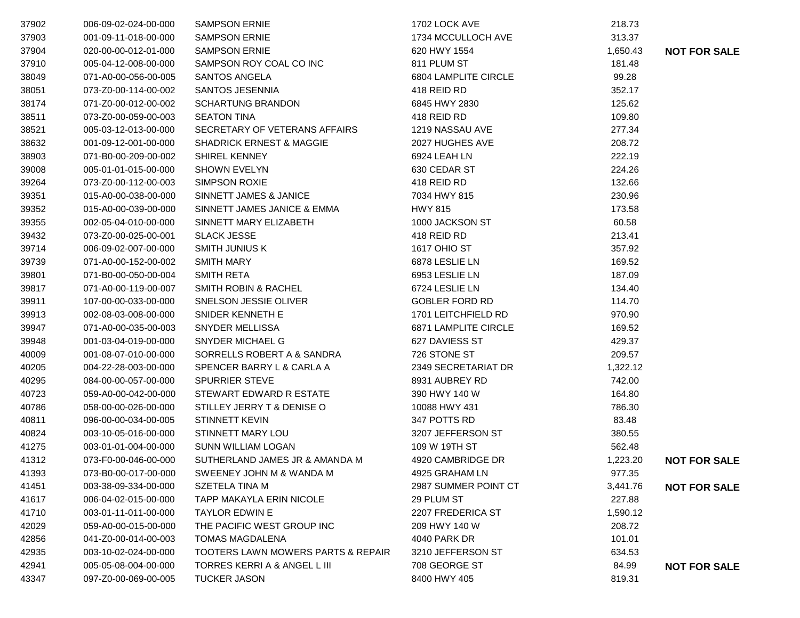| 37902 | 006-09-02-024-00-000 | <b>SAMPSON ERNIE</b>                | 1702 LOCK AVE         | 218.73   |                     |
|-------|----------------------|-------------------------------------|-----------------------|----------|---------------------|
| 37903 | 001-09-11-018-00-000 | <b>SAMPSON ERNIE</b>                | 1734 MCCULLOCH AVE    | 313.37   |                     |
| 37904 | 020-00-00-012-01-000 | <b>SAMPSON ERNIE</b>                | 620 HWY 1554          | 1,650.43 | <b>NOT FOR SALE</b> |
| 37910 | 005-04-12-008-00-000 | SAMPSON ROY COAL CO INC             | 811 PLUM ST           | 181.48   |                     |
| 38049 | 071-A0-00-056-00-005 | SANTOS ANGELA                       | 6804 LAMPLITE CIRCLE  | 99.28    |                     |
| 38051 | 073-Z0-00-114-00-002 | SANTOS JESENNIA                     | 418 REID RD           | 352.17   |                     |
| 38174 | 071-Z0-00-012-00-002 | <b>SCHARTUNG BRANDON</b>            | 6845 HWY 2830         | 125.62   |                     |
| 38511 | 073-Z0-00-059-00-003 | <b>SEATON TINA</b>                  | 418 REID RD           | 109.80   |                     |
| 38521 | 005-03-12-013-00-000 | SECRETARY OF VETERANS AFFAIRS       | 1219 NASSAU AVE       | 277.34   |                     |
| 38632 | 001-09-12-001-00-000 | <b>SHADRICK ERNEST &amp; MAGGIE</b> | 2027 HUGHES AVE       | 208.72   |                     |
| 38903 | 071-B0-00-209-00-002 | <b>SHIREL KENNEY</b>                | 6924 LEAH LN          | 222.19   |                     |
| 39008 | 005-01-01-015-00-000 | <b>SHOWN EVELYN</b>                 | 630 CEDAR ST          | 224.26   |                     |
| 39264 | 073-Z0-00-112-00-003 | <b>SIMPSON ROXIE</b>                | 418 REID RD           | 132.66   |                     |
| 39351 | 015-A0-00-038-00-000 | SINNETT JAMES & JANICE              | 7034 HWY 815          | 230.96   |                     |
| 39352 | 015-A0-00-039-00-000 | SINNETT JAMES JANICE & EMMA         | <b>HWY 815</b>        | 173.58   |                     |
| 39355 | 002-05-04-010-00-000 | SINNETT MARY ELIZABETH              | 1000 JACKSON ST       | 60.58    |                     |
| 39432 | 073-Z0-00-025-00-001 | <b>SLACK JESSE</b>                  | 418 REID RD           | 213.41   |                     |
| 39714 | 006-09-02-007-00-000 | <b>SMITH JUNIUS K</b>               | 1617 OHIO ST          | 357.92   |                     |
| 39739 | 071-A0-00-152-00-002 | <b>SMITH MARY</b>                   | 6878 LESLIE LN        | 169.52   |                     |
| 39801 | 071-B0-00-050-00-004 | SMITH RETA                          | 6953 LESLIE LN        | 187.09   |                     |
| 39817 | 071-A0-00-119-00-007 | <b>SMITH ROBIN &amp; RACHEL</b>     | 6724 LESLIE LN        | 134.40   |                     |
| 39911 | 107-00-00-033-00-000 | SNELSON JESSIE OLIVER               | <b>GOBLER FORD RD</b> | 114.70   |                     |
| 39913 | 002-08-03-008-00-000 | SNIDER KENNETH E                    | 1701 LEITCHFIELD RD   | 970.90   |                     |
| 39947 | 071-A0-00-035-00-003 | <b>SNYDER MELLISSA</b>              | 6871 LAMPLITE CIRCLE  | 169.52   |                     |
| 39948 | 001-03-04-019-00-000 | SNYDER MICHAEL G                    | 627 DAVIESS ST        | 429.37   |                     |
| 40009 | 001-08-07-010-00-000 | SORRELLS ROBERT A & SANDRA          | 726 STONE ST          | 209.57   |                     |
| 40205 | 004-22-28-003-00-000 | SPENCER BARRY L & CARLA A           | 2349 SECRETARIAT DR   | 1,322.12 |                     |
| 40295 | 084-00-00-057-00-000 | <b>SPURRIER STEVE</b>               | 8931 AUBREY RD        | 742.00   |                     |
| 40723 | 059-A0-00-042-00-000 | STEWART EDWARD R ESTATE             | 390 HWY 140 W         | 164.80   |                     |
| 40786 | 058-00-00-026-00-000 | STILLEY JERRY T & DENISE O          | 10088 HWY 431         | 786.30   |                     |
| 40811 | 096-00-00-034-00-005 | STINNETT KEVIN                      | 347 POTTS RD          | 83.48    |                     |
| 40824 | 003-10-05-016-00-000 | STINNETT MARY LOU                   | 3207 JEFFERSON ST     | 380.55   |                     |
| 41275 | 003-01-01-004-00-000 | <b>SUNN WILLIAM LOGAN</b>           | 109 W 19TH ST         | 562.48   |                     |
| 41312 | 073-F0-00-046-00-000 | SUTHERLAND JAMES JR & AMANDA M      | 4920 CAMBRIDGE DR     | 1,223.20 | <b>NOT FOR SALE</b> |
| 41393 | 073-B0-00-017-00-000 | SWEENEY JOHN M & WANDA M            | 4925 GRAHAM LN        | 977.35   |                     |
| 41451 | 003-38-09-334-00-000 | SZETELA TINA M                      | 2987 SUMMER POINT CT  | 3,441.76 | <b>NOT FOR SALE</b> |
| 41617 | 006-04-02-015-00-000 | <b>TAPP MAKAYLA ERIN NICOLE</b>     | 29 PLUM ST            | 227.88   |                     |
| 41710 | 003-01-11-011-00-000 | <b>TAYLOR EDWIN E</b>               | 2207 FREDERICA ST     | 1,590.12 |                     |
| 42029 | 059-A0-00-015-00-000 | THE PACIFIC WEST GROUP INC          | 209 HWY 140 W         | 208.72   |                     |
| 42856 | 041-Z0-00-014-00-003 | <b>TOMAS MAGDALENA</b>              | 4040 PARK DR          | 101.01   |                     |
| 42935 | 003-10-02-024-00-000 | TOOTERS LAWN MOWERS PARTS & REPAIR  | 3210 JEFFERSON ST     | 634.53   |                     |
| 42941 | 005-05-08-004-00-000 | TORRES KERRI A & ANGEL L III        | 708 GEORGE ST         | 84.99    | <b>NOT FOR SALE</b> |
| 43347 | 097-Z0-00-069-00-005 | TUCKER JASON                        | 8400 HWY 405          | 819.31   |                     |